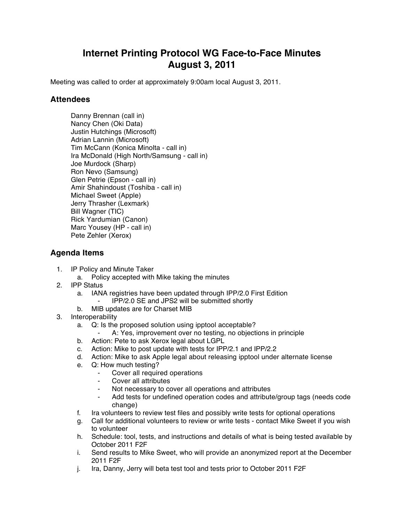## **Internet Printing Protocol WG Face-to-Face Minutes August 3, 2011**

Meeting was called to order at approximately 9:00am local August 3, 2011.

## **Attendees**

Danny Brennan (call in) Nancy Chen (Oki Data) Justin Hutchings (Microsoft) Adrian Lannin (Microsoft) Tim McCann (Konica Minolta - call in) Ira McDonald (High North/Samsung - call in) Joe Murdock (Sharp) Ron Nevo (Samsung) Glen Petrie (Epson - call in) Amir Shahindoust (Toshiba - call in) Michael Sweet (Apple) Jerry Thrasher (Lexmark) Bill Wagner (TIC) Rick Yardumian (Canon) Marc Yousey (HP - call in) Pete Zehler (Xerox)

## **Agenda Items**

- 1. IP Policy and Minute Taker
	- a. Policy accepted with Mike taking the minutes
- 2. IPP Status
	- a. IANA registries have been updated through IPP/2.0 First Edition
		- ⁃ IPP/2.0 SE and JPS2 will be submitted shortly
	- b. MIB updates are for Charset MIB
- 3. Interoperability
	- a. Q: Is the proposed solution using ipptool acceptable?
		- A: Yes, improvement over no testing, no objections in principle
	- b. Action: Pete to ask Xerox legal about LGPL
	- c. Action: Mike to post update with tests for IPP/2.1 and IPP/2.2
	- d. Action: Mike to ask Apple legal about releasing ipptool under alternate license
	- e. Q: How much testing?
		- Cover all required operations
		- ⁃ Cover all attributes
		- Not necessary to cover all operations and attributes
		- Add tests for undefined operation codes and attribute/group tags (needs code change)
	- f. Ira volunteers to review test files and possibly write tests for optional operations
	- g. Call for additional volunteers to review or write tests contact Mike Sweet if you wish to volunteer
	- h. Schedule: tool, tests, and instructions and details of what is being tested available by October 2011 F2F
	- i. Send results to Mike Sweet, who will provide an anonymized report at the December 2011 F2F
	- j. Ira, Danny, Jerry will beta test tool and tests prior to October 2011 F2F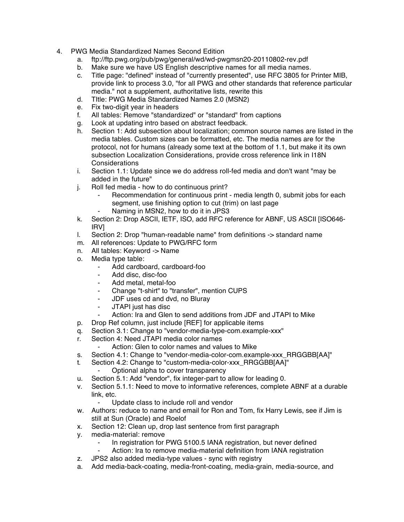- 4. PWG Media Standardized Names Second Edition
	- a. ftp://ftp.pwg.org/pub/pwg/general/wd/wd-pwgmsn20-20110802-rev.pdf
	- b. Make sure we have US English descriptive names for all media names.
	- c. Title page: "defined" instead of "currently presented", use RFC 3805 for Printer MIB, provide link to process 3.0, "for all PWG and other standards that reference particular media." not a supplement, authoritative lists, rewrite this
	- d. TItle: PWG Media Standardized Names 2.0 (MSN2)
	- e. Fix two-digit year in headers
	- f. All tables: Remove "standardized" or "standard" from captions
	- g. Look at updating intro based on abstract feedback.
	- h. Section 1: Add subsection about localization; common source names are listed in the media tables. Custom sizes can be formatted, etc. The media names are for the protocol, not for humans (already some text at the bottom of 1.1, but make it its own subsection Localization Considerations, provide cross reference link in I18N **Considerations**
	- i. Section 1.1: Update since we do address roll-fed media and don't want "may be added in the future"
	- j. Roll fed media how to do continuous print?
		- Recommendation for continuous print media length 0, submit jobs for each segment, use finishing option to cut (trim) on last page
		- Naming in MSN2, how to do it in JPS3
	- k. Section 2: Drop ASCII, IETF, ISO, add RFC reference for ABNF, US ASCII [ISO646- IRV]
	- l. Section 2: Drop "human-readable name" from definitions -> standard name
	- m. All references: Update to PWG/RFC form
	- n. All tables: Keyword -> Name
	- o. Media type table:
		- ⁃ Add cardboard, cardboard-foo
		- ⁃ Add disc, disc-foo
		- ⁃ Add metal, metal-foo
		- ⁃ Change "t-shirt" to "transfer", mention CUPS
		- JDF uses cd and dvd, no Bluray
		- ⁃ JTAPI just has disc
		- ⁃ Action: Ira and Glen to send additions from JDF and JTAPI to Mike
	- p. Drop Ref column, just include [REF] for applicable items
	- q. Section 3.1: Change to "vendor-media-type-com.example-xxx"
	- r. Section 4: Need JTAPI media color names
		- Action: Glen to color names and values to Mike
	- s. Section 4.1: Change to "vendor-media-color-com.example-xxx\_RRGGBB[AA]"
	- t. Section 4.2: Change to "custom-media-color-xxx\_RRGGBB[AA]"
		- Optional alpha to cover transparency
	- u. Section 5.1: Add "vendor", fix integer-part to allow for leading 0.
	- v. Section 5.1.1: Need to move to informative references, complete ABNF at a durable link, etc.
		- Update class to include roll and vendor
	- w. Authors: reduce to name and email for Ron and Tom, fix Harry Lewis, see if Jim is still at Sun (Oracle) and Roelof
	- x. Section 12: Clean up, drop last sentence from first paragraph
	- y. media-material: remove
		- Fig. 1. In registration for PWG 5100.5 IANA registration, but never defined<br>Action: Ira to remove media-material definition from IANA registration
			- Action: Ira to remove media-material definition from IANA registration
	- z. JPS2 also added media-type values sync with registry
	- a. Add media-back-coating, media-front-coating, media-grain, media-source, and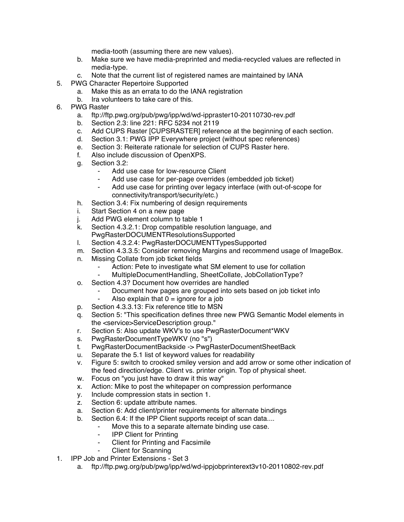media-tooth (assuming there are new values).

- b. Make sure we have media-preprinted and media-recycled values are reflected in media-type.
- c. Note that the current list of registered names are maintained by IANA
- 5. PWG Character Repertoire Supported
	- a. Make this as an errata to do the IANA registration
	- b. Ira volunteers to take care of this.
- 6. PWG Raster
	- a. ftp://ftp.pwg.org/pub/pwg/ipp/wd/wd-ippraster10-20110730-rev.pdf
	- b. Section 2.3: line 221: RFC 5234 not 2119
	- c. Add CUPS Raster [CUPSRASTER] reference at the beginning of each section.
	- d. Section 3.1: PWG IPP Everywhere project (without spec references)
	- e. Section 3: Reiterate rationale for selection of CUPS Raster here.
	- f. Also include discussion of OpenXPS.
	- g. Section 3.2:
		- Add use case for low-resource Client
			- Add use case for per-page overrides (embedded job ticket)
			- Add use case for printing over legacy interface (with out-of-scope for connectivity/transport/security/etc.)
	- h. Section 3.4: Fix numbering of design requirements
	- i. Start Section 4 on a new page
	- j. Add PWG element column to table 1
	- k. Section 4.3.2.1: Drop compatible resolution language, and PwgRasterDOCUMENTResolutionsSupported
	- l. Section 4.3.2.4: PwgRasterDOCUMENTTypesSupported
	- m. Section 4.3.3.5: Consider removing Margins and recommend usage of ImageBox.
	- n. Missing Collate from job ticket fields
		- ⁃ Action: Pete to investigate what SM element to use for collation
		- MultipleDocumentHandling, SheetCollate, JobCollationType?
	- o. Section 4.3? Document how overrides are handled
		- Document how pages are grouped into sets based on job ticket info
			- Also explain that  $0 =$  ignore for a job
	- p. Section 4.3.3.13: Fix reference title to MSN
	- q. Section 5: "This specification defines three new PWG Semantic Model elements in the <service>ServiceDescription group."
	- r. Section 5: Also update WKV's to use PwgRasterDocument\*WKV
	- s. PwgRasterDocumentTypeWKV (no "s")
	- t. PwgRasterDocumentBackside -> PwgRasterDocumentSheetBack
	- u. Separate the 5.1 list of keyword values for readability
	- v. Figure 5: switch to crooked smiley version and add arrow or some other indication of the feed direction/edge. Client vs. printer origin. Top of physical sheet.
	- w. Focus on "you just have to draw it this way"
	- x. Action: Mike to post the whitepaper on compression performance
	- y. Include compression stats in section 1.
	- z. Section 6: update attribute names.
	- a. Section 6: Add client/printer requirements for alternate bindings
	- b. Section 6.4: If the IPP Client supports receipt of scan data....
		- ⁃ Move this to a separate alternate binding use case.
		- ⁃ IPP Client for Printing
		- **Client for Printing and Facsimile**
		- **Client for Scanning**
- 1. IPP Job and Printer Extensions Set 3
	- a. ftp://ftp.pwg.org/pub/pwg/ipp/wd/wd-ippjobprinterext3v10-20110802-rev.pdf